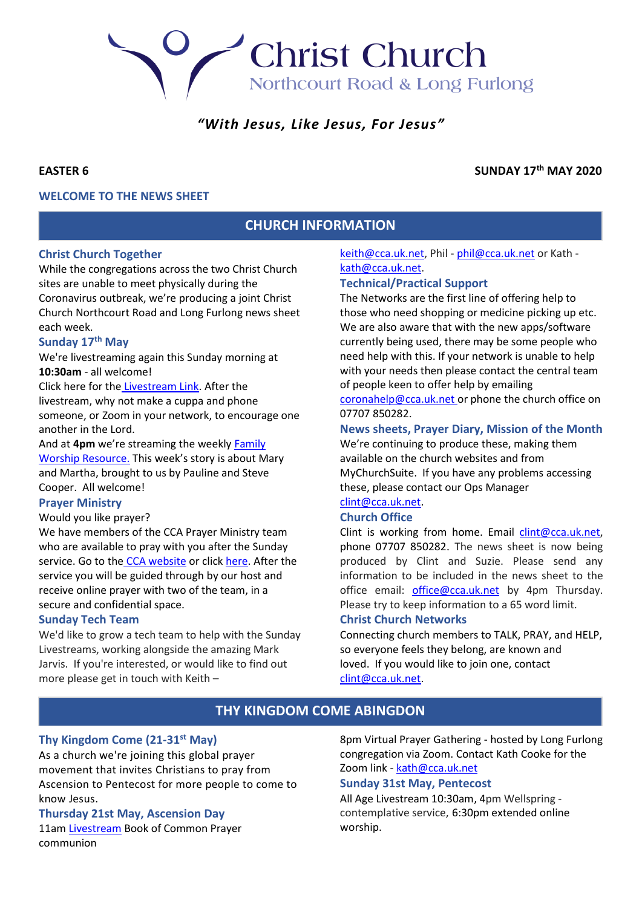Northcourt Road & Long Furlong

**Christ Church** 

# *"With Jesus, Like Jesus, For Jesus"*

# **EASTER 6 SUNDAY 17th MAY 2020**

# **WELCOME TO THE NEWS SHEET**

# **CHURCH INFORMATION**

### **Christ Church Together**

While the congregations across the two Christ Church sites are unable to meet physically during the Coronavirus outbreak, we're producing a joint Christ Church Northcourt Road and Long Furlong news sheet each week.

# **Sunday 17th May**

We're livestreaming again this Sunday morning at **10:30am** - all welcome!

Click here for the [Livestream Link.](https://youtu.be/rmhc2Fn0UF8) After the livestream, why not make a cuppa and phone someone, or Zoom in your network, to encourage one another in the Lord.

And at **4pm** we're streaming the weekly [Family](https://youtu.be/D7j6fuvejfQ)  [Worship Resource.](https://youtu.be/D7j6fuvejfQ) This week's story is about Mary and Martha, brought to us by Pauline and Steve Cooper. All welcome!

#### **Prayer Ministry**

Would you like prayer?

We have members of the CCA Prayer Ministry team who are available to pray with you after the Sunday service. Go to the [CCA website](https://cca.uk.net/sunday/) or click [here.](https://zoom.us/meeting/register/tJAkcu6vqTosHtWRZPsVVT4IT7ocgVpNOfhM) After the service you will be guided through by our host and receive online prayer with two of the team, in a secure and confidential space.

#### **Sunday Tech Team**

We'd like to grow a tech team to help with the Sunday Livestreams, working alongside the amazing Mark Jarvis. If you're interested, or would like to find out more please get in touch with Keith –

[keith@cca.uk.net,](mailto:keith@cca.uk.net) Phil - [phil@cca.uk.net](mailto:phil@cca.uk.net) or Kath [kath@cca.uk.net.](mailto:kath@cca.uk.net)

### **Technical/Practical Support**

The Networks are the first line of offering help to those who need shopping or medicine picking up etc. We are also aware that with the new apps/software currently being used, there may be some people who need help with this. If your network is unable to help with your needs then please contact the central team of people keen to offer help by emailing [coronahelp@cca.uk.net](mailto:coronahelp@cca.uk.net) or phone the church office on

07707 850282.

### **News sheets, Prayer Diary, Mission of the Month**

We're continuing to produce these, making them available on the church websites and from MyChurchSuite. If you have any problems accessing these, please contact our Ops Manager

#### [clint@cca.uk.net.](mailto:clint@cca.uk.net) **Church Office**

Clint is working from home. Email [clint@cca.uk.net,](mailto:clint@cca.uk.net) phone 07707 850282. The news sheet is now being produced by Clint and Suzie. Please send any information to be included in the news sheet to the office email: [office@cca.uk.net](mailto:office@cca.uk.net) by 4pm Thursday. Please try to keep information to a 65 word limit.

### **Christ Church Networks**

Connecting church members to TALK, PRAY, and HELP, so everyone feels they belong, are known and loved. If you would like to join one, contact [clint@cca.uk.net.](mailto:clint@cca.uk.net)

# **THY KINGDOM COME ABINGDON**

### **Thy Kingdom Come (21-31st May)**

As a church we're joining this global prayer movement that invites Christians to pray from Ascension to Pentecost for more people to come to know Jesus.

#### **Thursday 21st May, Ascension Day**

11a[m Livestream](https://youtu.be/V5vAYGHHJy8) Book of Common Prayer communion

8pm Virtual Prayer Gathering - hosted by Long Furlong congregation via Zoom. Contact Kath Cooke for the Zoom link - [kath@cca.uk.net](mailto:kath@cca.uk.net)

#### **Sunday 31st May, Pentecost**

All Age Livestream 10:30am, 4pm Wellspring contemplative service, 6:30pm extended online worship.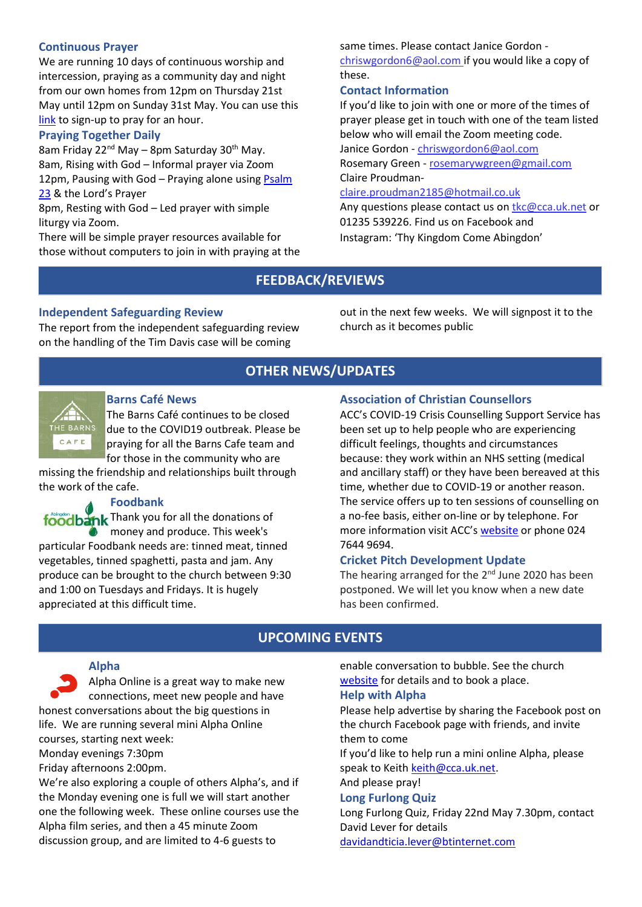# **Continuous Prayer**

We are running 10 days of continuous worship and intercession, praying as a community day and night from our own homes from 12pm on Thursday 21st May until 12pm on Sunday 31st May. You can use this [link](http://www.24-7prayer.com/signup/618ce4) to sign-up to pray for an hour.

# **Praying Together Daily**

8am Friday 22<sup>nd</sup> May – 8pm Saturday 30<sup>th</sup> May. 8am, Rising with God – Informal prayer via Zoom 12pm, Pausing with God - Praying alone using Psalm [23](https://cdn.filestackcontent.com/328JdgvOSKecKHzfBEcI) & the Lord's Prayer

8pm, Resting with God – Led prayer with simple liturgy via Zoom.

There will be simple prayer resources available for those without computers to join in with praying at the same times. Please contact Janice Gordon -

[chriswgordon6@aol.com](mailto:chriswgordon6@aol.com) if you would like a copy of these.

# **Contact Information**

If you'd like to join with one or more of the times of prayer please get in touch with one of the team listed below who will email the Zoom meeting code.

Janice Gordon - [chriswgordon6@aol.com](mailto:chriswgordon6@aol.com) Rosemary Green - [rosemarywgreen@gmail.com](mailto:rosemarywgreen@gmail.com)

Claire Proudman-

### [claire.proudman2185@hotmail.co.uk](mailto:claire.proudman2185@hotmail.co.uk)

Any questions please contact us on [tkc@cca.uk.net](mailto:tkc@cca.uk.net) or 01235 539226. Find us on Facebook and Instagram: 'Thy Kingdom Come Abingdon'

# **FEEDBACK/REVIEWS**

### **Independent Safeguarding Review**

The report from the independent safeguarding review on the handling of the Tim Davis case will be coming

out in the next few weeks. We will signpost it to the church as it becomes public

# **OTHER NEWS/UPDATES**



### **Barns Café News**

The Barns Café continues to be closed due to the COVID19 outbreak. Please be praying for all the Barns Cafe team and for those in the community who are

missing the friendship and relationships built through the work of the cafe.

# **Foodbank**

foodbank Thank you for all the donations of money and produce. This week's particular Foodbank needs are: tinned meat, tinned vegetables, tinned spaghetti, pasta and jam. Any produce can be brought to the church between 9:30 and 1:00 on Tuesdays and Fridays. It is hugely appreciated at this difficult time.

# **Association of Christian Counsellors**

ACC's COVID-19 Crisis Counselling Support Service has been set up to help people who are experiencing difficult feelings, thoughts and circumstances because: they work within an NHS setting (medical and ancillary staff) or they have been bereaved at this time, whether due to COVID-19 or another reason. The service offers up to ten sessions of counselling on a no-fee basis, either on-line or by telephone. For more information visit ACC's [website](http://www.acc-uk.org/) or phone 024 7644 9694.

### **Cricket Pitch Development Update**

The hearing arranged for the  $2^{nd}$  June 2020 has been postponed. We will let you know when a new date has been confirmed.

# **UPCOMING EVENTS**

### **Alpha**

Alpha Online is a great way to make new connections, meet new people and have honest conversations about the big questions in life. We are running several mini Alpha Online courses, starting next week: Monday evenings 7:30pm Friday afternoons 2:00pm.

We're also exploring a couple of others Alpha's, and if the Monday evening one is full we will start another one the following week. These online courses use the Alpha film series, and then a 45 minute Zoom discussion group, and are limited to 4-6 guests to

enable conversation to bubble. See the church [website](http://www.cca.uk.net/explore-faith/) for details and to book a place.

#### **Help with Alpha**

Please help advertise by sharing the Facebook post on the church Facebook page with friends, and invite them to come

If you'd like to help run a mini online Alpha, please speak to Keith [keith@cca.uk.net.](mailto:keith@cca.uk.net)

And please pray!

#### **Long Furlong Quiz**

Long Furlong Quiz, Friday 22nd May 7.30pm, contact David Lever for details [davidandticia.lever@btinternet.com](mailto:davidandticia.lever@btinternet.com)